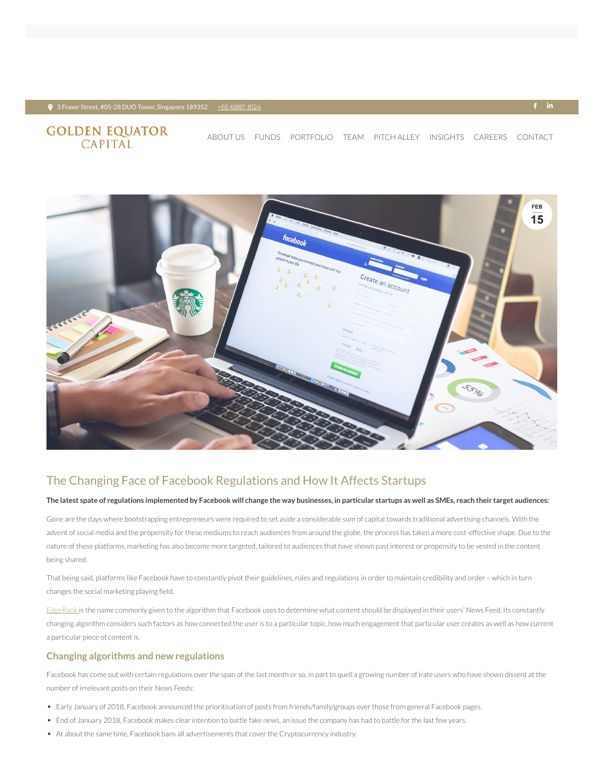#### $\bullet$  3 Fraser Street, #05-28 DUO Tower, Singapore 189352 + <u>+65 [6887](tel:+65 6887 8124) 8124</u> +  $\bullet$  +  $\bullet$  +  $\bullet$  +  $\bullet$  +  $\bullet$  +  $\bullet$  +  $\bullet$  +  $\bullet$  +  $\bullet$  +  $\bullet$  +  $\bullet$  +  $\bullet$  +  $\bullet$  +  $\bullet$  +  $\bullet$  +  $\bullet$  +  $\bullet$  +  $\bullet$  +  $\bullet$  +  $\bullet$  +  $\bullet$

# **GOLDEN EQUATOR**<br>CAPITAL

## The Changing Face of Facebook Regulations and How It Affects Startups

#### The latest spate of regulations implemented by Facebook will change the way businesses, in particular startups as well as SMEs, reach their target audiences:

Gone are the days where bootstrapping entrepreneurs were required to set aside a considerable sum of capital towards traditional advertising channels. With the advent of social media and the propensity for these mediums to reach audiences from around the globe, the process has taken a more cost-effective shape. Due to the nature of these platforms, marketing has also become more targeted, tailored to audiences that have shown past interest or propensity to be vested in the content being shared.

That being said, platforms like Facebook have to constantly pivot their guidelines, rules and regulations in order to maintain credibility and order - which in turn

changes the social marketing playing field.

[EdgeRank](http://edgerank.net/#What-is-EdgeRank) is the name commonly given to the algorithm that Facebook uses to determine what content should be displayed in their users' News Feed. Its constantly changing algorithm considers such factors as how connected the user is to a particular topic, how much engagement that particular user creates as well as how current a particular piece of content is.

Facebook has come out with certain regulations over the span of the last month or so, in part to quell a growing number of irate users who have shown dissent at the number of irrelevant posts on their News Feeds:

- Early January of 2018, Facebook announced the prioritisation of posts from friends/family/groups over those from general Facebook pages.
- End of January 2018, Facebook makes clear intention to battle fake news, an issue the company has had to battle for the last few years.
- At about the same time, Facebook bans all advertisements that cover the Cryptocurrency industry.

### **Changing algorithms and new regulations**



[ABOUT](https://www.goldenequatorcapital.com/) US [FUNDS](https://www.goldenequatorcapital.com/funds/) [PORTFOLIO](https://www.goldenequatorcapital.com/portfolio-2/) [TEAM](https://www.goldenequatorcapital.com/team/) [PITCH](https://www.goldenequatorcapital.com/pitch-alley/) ALLEY INSIGHTS [CAREERS](https://www.goldenequatorcapital.com/careers/) [CONTACT](https://www.goldenequatorcapital.com/contact/)